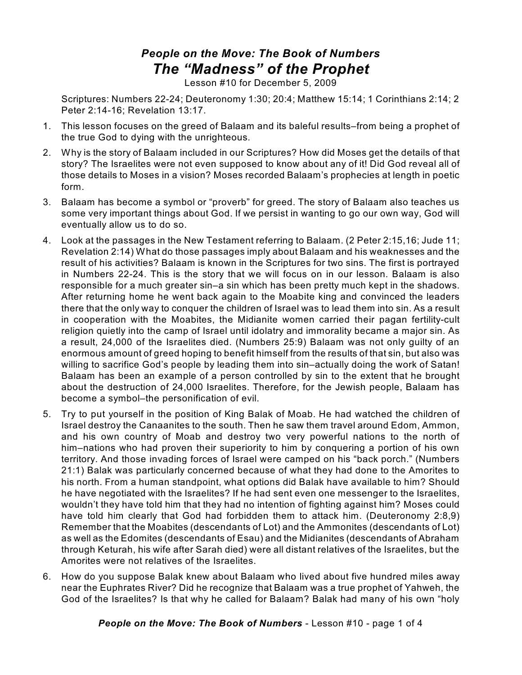## *People on the Move: The Book of Numbers The "Madness" of the Prophet*

Lesson #10 for December 5, 2009

Scriptures: Numbers 22-24; Deuteronomy 1:30; 20:4; Matthew 15:14; 1 Corinthians 2:14; 2 Peter 2:14-16; Revelation 13:17.

- 1. This lesson focuses on the greed of Balaam and its baleful results–from being a prophet of the true God to dying with the unrighteous.
- 2. Why is the story of Balaam included in our Scriptures? How did Moses get the details of that story? The Israelites were not even supposed to know about any of it! Did God reveal all of those details to Moses in a vision? Moses recorded Balaam's prophecies at length in poetic form.
- 3. Balaam has become a symbol or "proverb" for greed. The story of Balaam also teaches us some very important things about God. If we persist in wanting to go our own way, God will eventually allow us to do so.
- 4. Look at the passages in the New Testament referring to Balaam. (2 Peter 2:15,16; Jude 11; Revelation 2:14) What do those passages imply about Balaam and his weaknesses and the result of his activities? Balaam is known in the Scriptures for two sins. The first is portrayed in Numbers 22-24. This is the story that we will focus on in our lesson. Balaam is also responsible for a much greater sin–a sin which has been pretty much kept in the shadows. After returning home he went back again to the Moabite king and convinced the leaders there that the only way to conquer the children of Israel was to lead them into sin. As a result in cooperation with the Moabites, the Midianite women carried their pagan fertility-cult religion quietly into the camp of Israel until idolatry and immorality became a major sin. As a result, 24,000 of the Israelites died. (Numbers 25:9) Balaam was not only guilty of an enormous amount of greed hoping to benefit himself from the results of that sin, but also was willing to sacrifice God's people by leading them into sin–actually doing the work of Satan! Balaam has been an example of a person controlled by sin to the extent that he brought about the destruction of 24,000 Israelites. Therefore, for the Jewish people, Balaam has become a symbol–the personification of evil.
- 5. Try to put yourself in the position of King Balak of Moab. He had watched the children of Israel destroy the Canaanites to the south. Then he saw them travel around Edom, Ammon, and his own country of Moab and destroy two very powerful nations to the north of him–nations who had proven their superiority to him by conquering a portion of his own territory. And those invading forces of Israel were camped on his "back porch." (Numbers 21:1) Balak was particularly concerned because of what they had done to the Amorites to his north. From a human standpoint, what options did Balak have available to him? Should he have negotiated with the Israelites? If he had sent even one messenger to the Israelites, wouldn't they have told him that they had no intention of fighting against him? Moses could have told him clearly that God had forbidden them to attack him. (Deuteronomy 2:8,9) Remember that the Moabites (descendants of Lot) and the Ammonites (descendants of Lot) as well as the Edomites (descendants of Esau) and the Midianites (descendants of Abraham through Keturah, his wife after Sarah died) were all distant relatives of the Israelites, but the Amorites were not relatives of the Israelites.
- 6. How do you suppose Balak knew about Balaam who lived about five hundred miles away near the Euphrates River? Did he recognize that Balaam was a true prophet of Yahweh, the God of the Israelites? Is that why he called for Balaam? Balak had many of his own "holy

*People on the Move: The Book of Numbers* - Lesson #10 - page 1 of 4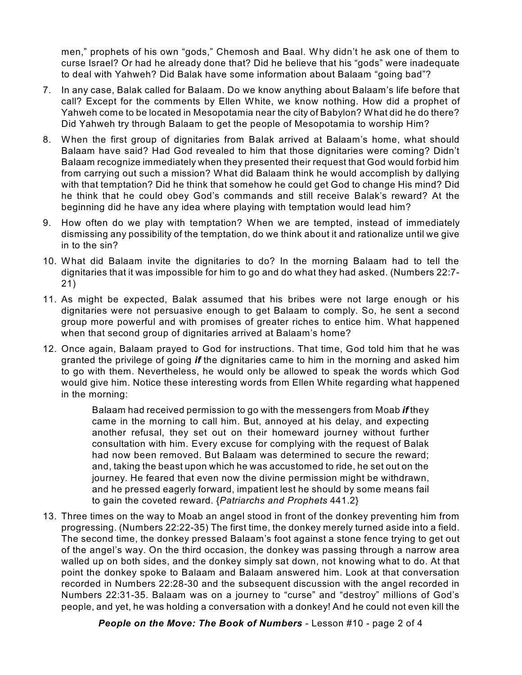men," prophets of his own "gods," Chemosh and Baal. Why didn't he ask one of them to curse Israel? Or had he already done that? Did he believe that his "gods" were inadequate to deal with Yahweh? Did Balak have some information about Balaam "going bad"?

- 7. In any case, Balak called for Balaam. Do we know anything about Balaam's life before that call? Except for the comments by Ellen White, we know nothing. How did a prophet of Yahweh come to be located in Mesopotamia near the city of Babylon? What did he do there? Did Yahweh try through Balaam to get the people of Mesopotamia to worship Him?
- 8. When the first group of dignitaries from Balak arrived at Balaam's home, what should Balaam have said? Had God revealed to him that those dignitaries were coming? Didn't Balaam recognize immediately when they presented their request that God would forbid him from carrying out such a mission? What did Balaam think he would accomplish by dallying with that temptation? Did he think that somehow he could get God to change His mind? Did he think that he could obey God's commands and still receive Balak's reward? At the beginning did he have any idea where playing with temptation would lead him?
- 9. How often do we play with temptation? When we are tempted, instead of immediately dismissing any possibility of the temptation, do we think about it and rationalize until we give in to the sin?
- 10. What did Balaam invite the dignitaries to do? In the morning Balaam had to tell the dignitaries that it was impossible for him to go and do what they had asked. (Numbers 22:7- 21)
- 11. As might be expected, Balak assumed that his bribes were not large enough or his dignitaries were not persuasive enough to get Balaam to comply. So, he sent a second group more powerful and with promises of greater riches to entice him. What happened when that second group of dignitaries arrived at Balaam's home?
- 12. Once again, Balaam prayed to God for instructions. That time, God told him that he was granted the privilege of going *if* the dignitaries came to him in the morning and asked him to go with them. Nevertheless, he would only be allowed to speak the words which God would give him. Notice these interesting words from Ellen White regarding what happened in the morning:

Balaam had received permission to go with the messengers from Moab *if* they came in the morning to call him. But, annoyed at his delay, and expecting another refusal, they set out on their homeward journey without further consultation with him. Every excuse for complying with the request of Balak had now been removed. But Balaam was determined to secure the reward; and, taking the beast upon which he was accustomed to ride, he set out on the journey. He feared that even now the divine permission might be withdrawn, and he pressed eagerly forward, impatient lest he should by some means fail to gain the coveted reward. {*Patriarchs and Prophets* 441.2}

13. Three times on the way to Moab an angel stood in front of the donkey preventing him from progressing. (Numbers 22:22-35) The first time, the donkey merely turned aside into a field. The second time, the donkey pressed Balaam's foot against a stone fence trying to get out of the angel's way. On the third occasion, the donkey was passing through a narrow area walled up on both sides, and the donkey simply sat down, not knowing what to do. At that point the donkey spoke to Balaam and Balaam answered him. Look at that conversation recorded in Numbers 22:28-30 and the subsequent discussion with the angel recorded in Numbers 22:31-35. Balaam was on a journey to "curse" and "destroy" millions of God's people, and yet, he was holding a conversation with a donkey! And he could not even kill the

*People on the Move: The Book of Numbers* - Lesson #10 - page 2 of 4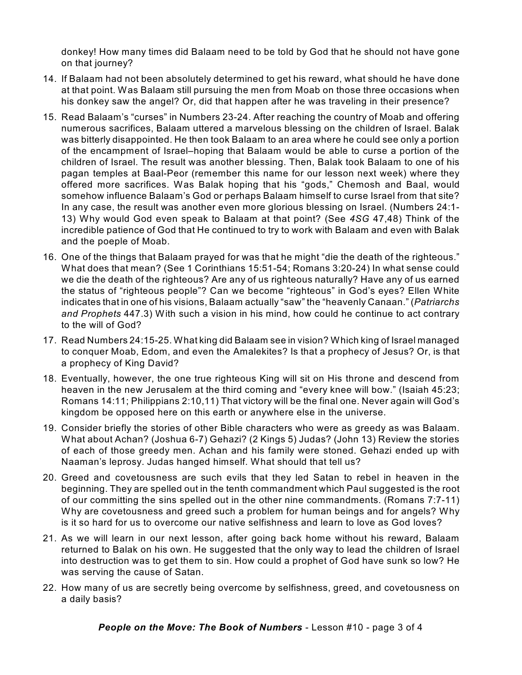donkey! How many times did Balaam need to be told by God that he should not have gone on that journey?

- 14. If Balaam had not been absolutely determined to get his reward, what should he have done at that point. Was Balaam still pursuing the men from Moab on those three occasions when his donkey saw the angel? Or, did that happen after he was traveling in their presence?
- 15. Read Balaam's "curses" in Numbers 23-24. After reaching the country of Moab and offering numerous sacrifices, Balaam uttered a marvelous blessing on the children of Israel. Balak was bitterly disappointed. He then took Balaam to an area where he could see only a portion of the encampment of Israel–hoping that Balaam would be able to curse a portion of the children of Israel. The result was another blessing. Then, Balak took Balaam to one of his pagan temples at Baal-Peor (remember this name for our lesson next week) where they offered more sacrifices. Was Balak hoping that his "gods," Chemosh and Baal, would somehow influence Balaam's God or perhaps Balaam himself to curse Israel from that site? In any case, the result was another even more glorious blessing on Israel. (Numbers 24:1- 13) Why would God even speak to Balaam at that point? (See *4SG* 47,48) Think of the incredible patience of God that He continued to try to work with Balaam and even with Balak and the poeple of Moab.
- 16. One of the things that Balaam prayed for was that he might "die the death of the righteous." What does that mean? (See 1 Corinthians 15:51-54; Romans 3:20-24) In what sense could we die the death of the righteous? Are any of us righteous naturally? Have any of us earned the status of "righteous people"? Can we become "righteous" in God's eyes? Ellen White indicates that in one of his visions, Balaam actually "saw" the "heavenly Canaan." (*Patriarchs and Prophets* 447.3) With such a vision in his mind, how could he continue to act contrary to the will of God?
- 17. Read Numbers 24:15-25. What king did Balaam see in vision? Which king of Israel managed to conquer Moab, Edom, and even the Amalekites? Is that a prophecy of Jesus? Or, is that a prophecy of King David?
- 18. Eventually, however, the one true righteous King will sit on His throne and descend from heaven in the new Jerusalem at the third coming and "every knee will bow." (Isaiah 45:23; Romans 14:11; Philippians 2:10,11) That victory will be the final one. Never again will God's kingdom be opposed here on this earth or anywhere else in the universe.
- 19. Consider briefly the stories of other Bible characters who were as greedy as was Balaam. What about Achan? (Joshua 6-7) Gehazi? (2 Kings 5) Judas? (John 13) Review the stories of each of those greedy men. Achan and his family were stoned. Gehazi ended up with Naaman's leprosy. Judas hanged himself. What should that tell us?
- 20. Greed and covetousness are such evils that they led Satan to rebel in heaven in the beginning. They are spelled out in the tenth commandment which Paul suggested is the root of our committing the sins spelled out in the other nine commandments. (Romans 7:7-11) Why are covetousness and greed such a problem for human beings and for angels? Why is it so hard for us to overcome our native selfishness and learn to love as God loves?
- 21. As we will learn in our next lesson, after going back home without his reward, Balaam returned to Balak on his own. He suggested that the only way to lead the children of Israel into destruction was to get them to sin. How could a prophet of God have sunk so low? He was serving the cause of Satan.
- 22. How many of us are secretly being overcome by selfishness, greed, and covetousness on a daily basis?